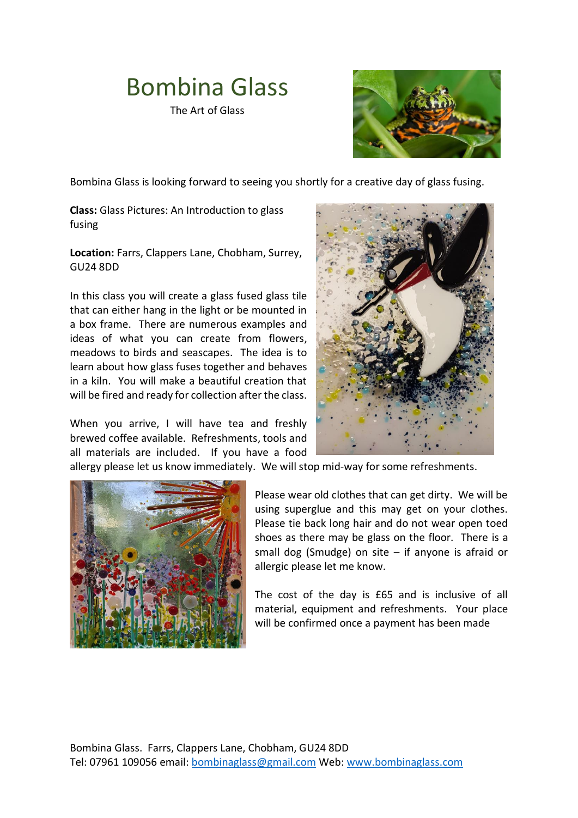## Bombina Glass

The Art of Glass



Bombina Glass is looking forward to seeing you shortly for a creative day of glass fusing.

**Class:** Glass Pictures: An Introduction to glass fusing

**Location:** Farrs, Clappers Lane, Chobham, Surrey, GU24 8DD

In this class you will create a glass fused glass tile that can either hang in the light or be mounted in a box frame. There are numerous examples and ideas of what you can create from flowers, meadows to birds and seascapes. The idea is to learn about how glass fuses together and behaves in a kiln. You will make a beautiful creation that will be fired and ready for collection after the class.

When you arrive, I will have tea and freshly brewed coffee available. Refreshments, tools and all materials are included. If you have a food



allergy please let us know immediately. We will stop mid-way for some refreshments.



Please wear old clothes that can get dirty. We will be using superglue and this may get on your clothes. Please tie back long hair and do not wear open toed shoes as there may be glass on the floor. There is a small dog (Smudge) on site – if anyone is afraid or allergic please let me know.

The cost of the day is £65 and is inclusive of all material, equipment and refreshments. Your place will be confirmed once a payment has been made